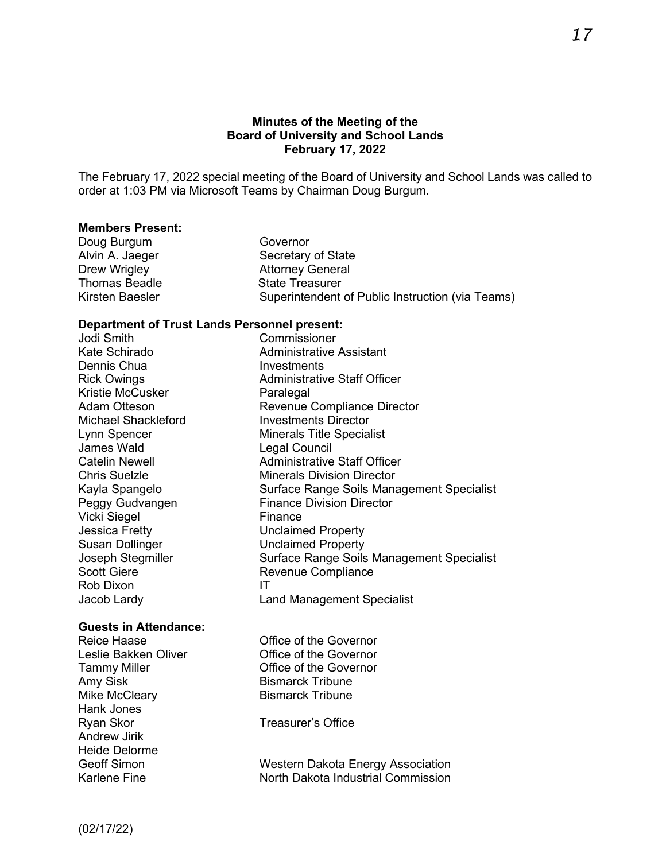### **Minutes of the Meeting of the Board of University and School Lands February 17, 2022**

The February 17, 2022 special meeting of the Board of University and School Lands was called to order at 1:03 PM via Microsoft Teams by Chairman Doug Burgum.

#### **Members Present:**

| Governor                                         |
|--------------------------------------------------|
| Secretary of State                               |
| <b>Attorney General</b>                          |
| <b>State Treasurer</b>                           |
| Superintendent of Public Instruction (via Teams) |
|                                                  |

#### **Department of Trust Lands Personnel present:**

Jodi Smith Commissioner Kate Schirado **Administrative Assistant**<br>
Dennis Chua Dennis Chua Kristie McCusker Paralegal Michael Shackleford **Investments Director** Lynn Spencer Minerals Title Specialist<br>James Wald Mineral Council James Wald **Legal Council**<br>Catelin Newell **Cateling Catelin** Vicki Siegel **Finance** Jessica Fretty Unclaimed Property Susan Dollinger **Unclaimed Property** Scott Giere **Revenue Compliance** Rob Dixon IT

#### **Guests in Attendance:**

Amy Sisk Bismarck Tribune Mike McCleary **Bismarck Tribune** Hank Jones Ryan Skor **Treasurer's Office** Andrew Jirik Heide Delorme

Rick Owings **Administrative Staff Officer** Revenue Compliance Director Administrative Staff Officer **Chris Suelzle Minerals Division Director** Kayla Spangelo Surface Range Soils Management Specialist Peggy Gudvangen Finance Division Director Joseph Stegmiller Surface Range Soils Management Specialist Jacob Lardy Land Management Specialist

Reice Haase **Conservation** Office of the Governor Leslie Bakken Oliver **Conservant Conservant Conservant Conservant Conservant Conservant Conservant Conservant** Tammy Miller **Tammy Miller** Covernor

Geoff Simon Western Dakota Energy Association Karlene Fine **North Dakota Industrial Commission**